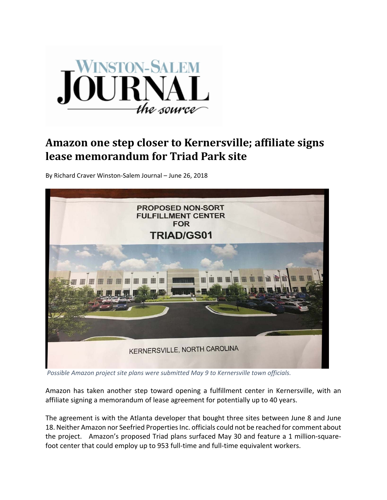

## **Amazon one step closer to Kernersville; affiliate signs lease memorandum** for Triad Park site

By Richard Craver Winston‐Salem Journal – June 26, 2018



*Possible Amazon project site plans were submitted May 9 to Kernersville town officials.*

Amazon has taken another step toward opening a fulfillment center in Kernersville, with an affiliate signing a memorandum of lease agreement for potentially up to 40 years.

The agreement is with the Atlanta developer that bought three sites between June 8 and June 18. Neither Amazon nor Seefried Properties Inc. officials could not be reached for comment about the project. Amazon's proposed Triad plans surfaced May 30 and feature a 1 million-squarefoot center that could employ up to 953 full‐time and full‐time equivalent workers.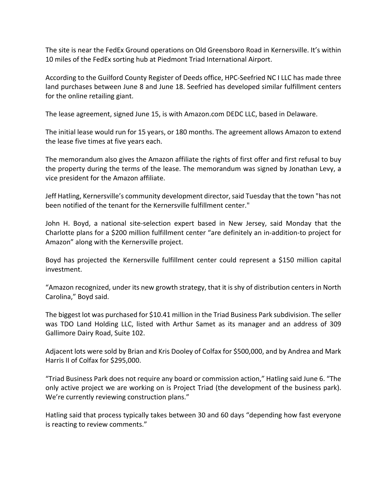The site is near the FedEx Ground operations on Old Greensboro Road in Kernersville. It's within 10 miles of the FedEx sorting hub at Piedmont Triad International Airport.

According to the Guilford County Register of Deeds office, HPC‐Seefried NC I LLC has made three land purchases between June 8 and June 18. Seefried has developed similar fulfillment centers for the online retailing giant.

The lease agreement, signed June 15, is with Amazon.com DEDC LLC, based in Delaware.

The initial lease would run for 15 years, or 180 months. The agreement allows Amazon to extend the lease five times at five years each.

The memorandum also gives the Amazon affiliate the rights of first offer and first refusal to buy the property during the terms of the lease. The memorandum was signed by Jonathan Levy, a vice president for the Amazon affiliate.

Jeff Hatling, Kernersville's community development director, said Tuesday that the town "has not been notified of the tenant for the Kernersville fulfillment center."

John H. Boyd, a national site‐selection expert based in New Jersey, said Monday that the Charlotte plans for a \$200 million fulfillment center "are definitely an in‐addition‐to project for Amazon" along with the Kernersville project.

Boyd has projected the Kernersville fulfillment center could represent a \$150 million capital investment.

"Amazon recognized, under its new growth strategy, that it is shy of distribution centers in North Carolina," Boyd said.

The biggest lot was purchased for \$10.41 million in the Triad Business Park subdivision. The seller was TDO Land Holding LLC, listed with Arthur Samet as its manager and an address of 309 Gallimore Dairy Road, Suite 102.

Adjacent lots were sold by Brian and Kris Dooley of Colfax for \$500,000, and by Andrea and Mark Harris II of Colfax for \$295,000.

"Triad Business Park does not require any board or commission action," Hatling said June 6. "The only active project we are working on is Project Triad (the development of the business park). We're currently reviewing construction plans."

Hatling said that process typically takes between 30 and 60 days "depending how fast everyone is reacting to review comments."